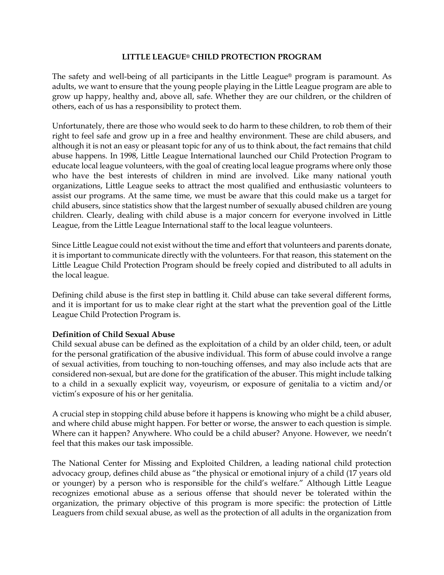#### **LITTLE LEAGUE® CHILD PROTECTION PROGRAM**

The safety and well-being of all participants in the Little League® program is paramount. As adults, we want to ensure that the young people playing in the Little League program are able to grow up happy, healthy and, above all, safe. Whether they are our children, or the children of others, each of us has a responsibility to protect them.

Unfortunately, there are those who would seek to do harm to these children, to rob them of their right to feel safe and grow up in a free and healthy environment. These are child abusers, and although it is not an easy or pleasant topic for any of us to think about, the fact remains that child abuse happens. In 1998, Little League International launched our Child Protection Program to educate local league volunteers, with the goal of creating local league programs where only those who have the best interests of children in mind are involved. Like many national youth organizations, Little League seeks to attract the most qualified and enthusiastic volunteers to assist our programs. At the same time, we must be aware that this could make us a target for child abusers, since statistics show that the largest number of sexually abused children are young children. Clearly, dealing with child abuse is a major concern for everyone involved in Little League, from the Little League International staff to the local league volunteers.

Since Little League could not exist without the time and effort that volunteers and parents donate, it is important to communicate directly with the volunteers. For that reason, this statement on the Little League Child Protection Program should be freely copied and distributed to all adults in the local league.

Defining child abuse is the first step in battling it. Child abuse can take several different forms, and it is important for us to make clear right at the start what the prevention goal of the Little League Child Protection Program is.

### **Definition of Child Sexual Abuse**

Child sexual abuse can be defined as the exploitation of a child by an older child, teen, or adult for the personal gratification of the abusive individual. This form of abuse could involve a range of sexual activities, from touching to non-touching offenses, and may also include acts that are considered non-sexual, but are done for the gratification of the abuser. This might include talking to a child in a sexually explicit way, voyeurism, or exposure of genitalia to a victim and/or victim's exposure of his or her genitalia.

A crucial step in stopping child abuse before it happens is knowing who might be a child abuser, and where child abuse might happen. For better or worse, the answer to each question is simple. Where can it happen? Anywhere. Who could be a child abuser? Anyone. However, we needn't feel that this makes our task impossible.

The National Center for Missing and Exploited Children, a leading national child protection advocacy group, defines child abuse as "the physical or emotional injury of a child (17 years old or younger) by a person who is responsible for the child's welfare." Although Little League recognizes emotional abuse as a serious offense that should never be tolerated within the organization, the primary objective of this program is more specific: the protection of Little Leaguers from child sexual abuse, as well as the protection of all adults in the organization from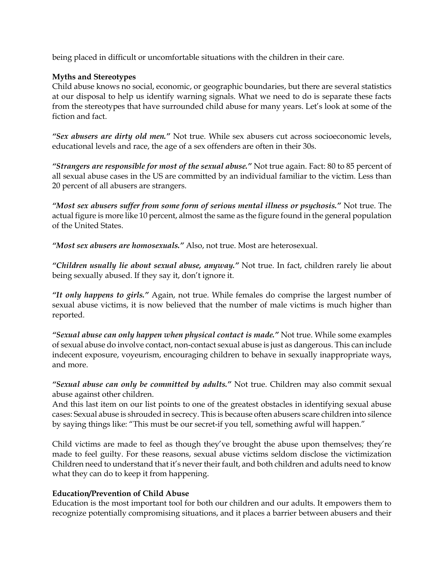being placed in difficult or uncomfortable situations with the children in their care.

### **Myths and Stereotypes**

Child abuse knows no social, economic, or geographic boundaries, but there are several statistics at our disposal to help us identify warning signals. What we need to do is separate these facts from the stereotypes that have surrounded child abuse for many years. Let's look at some of the fiction and fact.

*"Sex abusers are dirty old men."* Not true. While sex abusers cut across socioeconomic levels, educational levels and race, the age of a sex offenders are often in their 30s.

*"Strangers are responsible for most of the sexual abuse."* Not true again. Fact: 80 to 85 percent of all sexual abuse cases in the US are committed by an individual familiar to the victim. Less than 20 percent of all abusers are strangers.

*"Most sex abusers suffer from some form of serious mental illness or psychosis."* Not true. The actual figure is more like 10 percent, almost the same as the figure found in the general population of the United States.

*"Most sex abusers are homosexuals."* Also, not true. Most are heterosexual.

*"Children usually lie about sexual abuse, anyway."* Not true. In fact, children rarely lie about being sexually abused. If they say it, don't ignore it.

*"It only happens to girls."* Again, not true. While females do comprise the largest number of sexual abuse victims, it is now believed that the number of male victims is much higher than reported.

*"Sexual abuse can only happen when physical contact is made."* Not true. While some examples of sexual abuse do involve contact, non-contact sexual abuse is just as dangerous. This can include indecent exposure, voyeurism, encouraging children to behave in sexually inappropriate ways, and more.

*"Sexual abuse can only be committed by adults."* Not true. Children may also commit sexual abuse against other children.

And this last item on our list points to one of the greatest obstacles in identifying sexual abuse cases: Sexual abuse is shrouded in secrecy. This is because often abusers scare children into silence by saying things like: "This must be our secret-if you tell, something awful will happen."

Child victims are made to feel as though they've brought the abuse upon themselves; they're made to feel guilty. For these reasons, sexual abuse victims seldom disclose the victimization Children need to understand that it's never their fault, and both children and adults need to know what they can do to keep it from happening.

### **Education/Prevention of Child Abuse**

Education is the most important tool for both our children and our adults. It empowers them to recognize potentially compromising situations, and it places a barrier between abusers and their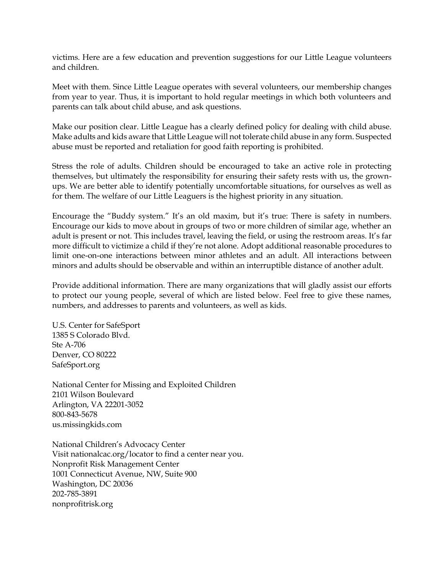victims. Here are a few education and prevention suggestions for our Little League volunteers and children.

Meet with them. Since Little League operates with several volunteers, our membership changes from year to year. Thus, it is important to hold regular meetings in which both volunteers and parents can talk about child abuse, and ask questions.

Make our position clear. Little League has a clearly defined policy for dealing with child abuse. Make adults and kids aware that Little League will not tolerate child abuse in any form. Suspected abuse must be reported and retaliation for good faith reporting is prohibited.

Stress the role of adults. Children should be encouraged to take an active role in protecting themselves, but ultimately the responsibility for ensuring their safety rests with us, the grownups. We are better able to identify potentially uncomfortable situations, for ourselves as well as for them. The welfare of our Little Leaguers is the highest priority in any situation.

Encourage the "Buddy system." It's an old maxim, but it's true: There is safety in numbers. Encourage our kids to move about in groups of two or more children of similar age, whether an adult is present or not. This includes travel, leaving the field, or using the restroom areas. It's far more difficult to victimize a child if they're not alone. Adopt additional reasonable procedures to limit one-on-one interactions between minor athletes and an adult. All interactions between minors and adults should be observable and within an interruptible distance of another adult.

Provide additional information. There are many organizations that will gladly assist our efforts to protect our young people, several of which are listed below. Feel free to give these names, numbers, and addresses to parents and volunteers, as well as kids.

U.S. Center for SafeSport 1385 S Colorado Blvd. Ste A-706 Denver, CO 80222 SafeSport.org

National Center for Missing and Exploited Children 2101 Wilson Boulevard Arlington, VA 22201-3052 800-843-5678 us.missingkids.com

National Children's Advocacy Center Visit nationalcac.org/locator to find a center near you. Nonprofit Risk Management Center 1001 Connecticut Avenue, NW, Suite 900 Washington, DC 20036 202-785-3891 nonprofitrisk.org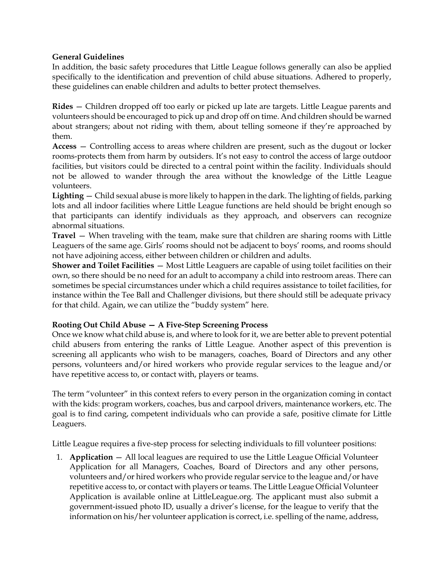## **General Guidelines**

In addition, the basic safety procedures that Little League follows generally can also be applied specifically to the identification and prevention of child abuse situations. Adhered to properly, these guidelines can enable children and adults to better protect themselves.

**Rides** — Children dropped off too early or picked up late are targets. Little League parents and volunteers should be encouraged to pick up and drop off on time. And children should be warned about strangers; about not riding with them, about telling someone if they're approached by them.

**Access** — Controlling access to areas where children are present, such as the dugout or locker rooms-protects them from harm by outsiders. It's not easy to control the access of large outdoor facilities, but visitors could be directed to a central point within the facility. Individuals should not be allowed to wander through the area without the knowledge of the Little League volunteers.

**Lighting** — Child sexual abuse is more likely to happen in the dark. The lighting of fields, parking lots and all indoor facilities where Little League functions are held should be bright enough so that participants can identify individuals as they approach, and observers can recognize abnormal situations.

**Travel** — When traveling with the team, make sure that children are sharing rooms with Little Leaguers of the same age. Girls' rooms should not be adjacent to boys' rooms, and rooms should not have adjoining access, either between children or children and adults.

**Shower and Toilet Facilities** — Most Little Leaguers are capable of using toilet facilities on their own, so there should be no need for an adult to accompany a child into restroom areas. There can sometimes be special circumstances under which a child requires assistance to toilet facilities, for instance within the Tee Ball and Challenger divisions, but there should still be adequate privacy for that child. Again, we can utilize the "buddy system" here.

### **Rooting Out Child Abuse — A Five-Step Screening Process**

Once we know what child abuse is, and where to look for it, we are better able to prevent potential child abusers from entering the ranks of Little League. Another aspect of this prevention is screening all applicants who wish to be managers, coaches, Board of Directors and any other persons, volunteers and/or hired workers who provide regular services to the league and/or have repetitive access to, or contact with, players or teams.

The term "volunteer" in this context refers to every person in the organization coming in contact with the kids: program workers, coaches, bus and carpool drivers, maintenance workers, etc. The goal is to find caring, competent individuals who can provide a safe, positive climate for Little Leaguers.

Little League requires a five-step process for selecting individuals to fill volunteer positions:

1. **Application** — All local leagues are required to use the Little League Official Volunteer Application for all Managers, Coaches, Board of Directors and any other persons, volunteers and/or hired workers who provide regular service to the league and/or have repetitive access to, or contact with players or teams. The Little League Official Volunteer Application is available online at LittleLeague.org. The applicant must also submit a government-issued photo ID, usually a driver's license, for the league to verify that the information on his/her volunteer application is correct, i.e. spelling of the name, address,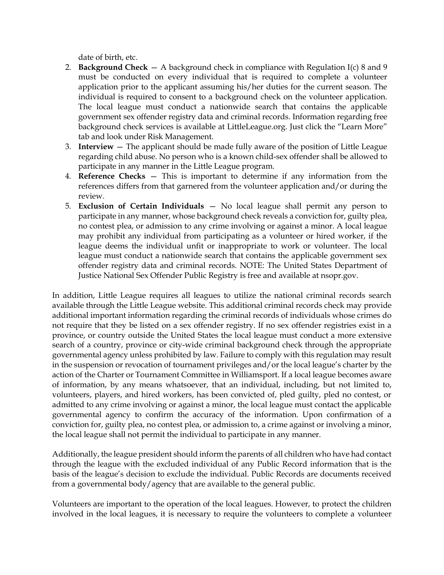date of birth, etc.

- 2. **Background Check** A background check in compliance with Regulation I(c) 8 and 9 must be conducted on every individual that is required to complete a volunteer application prior to the applicant assuming his/her duties for the current season. The individual is required to consent to a background check on the volunteer application. The local league must conduct a nationwide search that contains the applicable government sex offender registry data and criminal records. Information regarding free background check services is available at LittleLeague.org. Just click the "Learn More" tab and look under Risk Management.
- 3. **Interview** The applicant should be made fully aware of the position of Little League regarding child abuse. No person who is a known child-sex offender shall be allowed to participate in any manner in the Little League program.
- 4. **Reference Checks** This is important to determine if any information from the references differs from that garnered from the volunteer application and/or during the review.
- 5. **Exclusion of Certain Individuals** No local league shall permit any person to participate in any manner, whose background check reveals a conviction for, guilty plea, no contest plea, or admission to any crime involving or against a minor. A local league may prohibit any individual from participating as a volunteer or hired worker, if the league deems the individual unfit or inappropriate to work or volunteer. The local league must conduct a nationwide search that contains the applicable government sex offender registry data and criminal records. NOTE: The United States Department of Justice National Sex Offender Public Registry is free and available at nsopr.gov.

In addition, Little League requires all leagues to utilize the national criminal records search available through the Little League website. This additional criminal records check may provide additional important information regarding the criminal records of individuals whose crimes do not require that they be listed on a sex offender registry. If no sex offender registries exist in a province, or country outside the United States the local league must conduct a more extensive search of a country, province or city-wide criminal background check through the appropriate governmental agency unless prohibited by law. Failure to comply with this regulation may result in the suspension or revocation of tournament privileges and/or the local league's charter by the action of the Charter or Tournament Committee in Williamsport. If a local league becomes aware of information, by any means whatsoever, that an individual, including, but not limited to, volunteers, players, and hired workers, has been convicted of, pled guilty, pled no contest, or admitted to any crime involving or against a minor, the local league must contact the applicable governmental agency to confirm the accuracy of the information. Upon confirmation of a conviction for, guilty plea, no contest plea, or admission to, a crime against or involving a minor, the local league shall not permit the individual to participate in any manner.

Additionally, the league president should inform the parents of all children who have had contact through the league with the excluded individual of any Public Record information that is the basis of the league's decision to exclude the individual. Public Records are documents received from a governmental body/agency that are available to the general public.

Volunteers are important to the operation of the local leagues. However, to protect the children involved in the local leagues, it is necessary to require the volunteers to complete a volunteer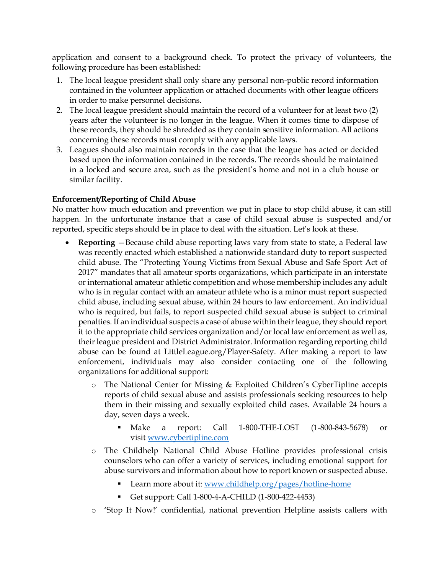application and consent to a background check. To protect the privacy of volunteers, the following procedure has been established:

- 1. The local league president shall only share any personal non-public record information contained in the volunteer application or attached documents with other league officers in order to make personnel decisions.
- 2. The local league president should maintain the record of a volunteer for at least two (2) years after the volunteer is no longer in the league. When it comes time to dispose of these records, they should be shredded as they contain sensitive information. All actions concerning these records must comply with any applicable laws.
- 3. Leagues should also maintain records in the case that the league has acted or decided based upon the information contained in the records. The records should be maintained in a locked and secure area, such as the president's home and not in a club house or similar facility.

## **Enforcement/Reporting of Child Abuse**

No matter how much education and prevention we put in place to stop child abuse, it can still happen. In the unfortunate instance that a case of child sexual abuse is suspected and/or reported, specific steps should be in place to deal with the situation. Let's look at these.

- **Reporting** —Because child abuse reporting laws vary from state to state, a Federal law was recently enacted which established a nationwide standard duty to report suspected child abuse. The "Protecting Young Victims from Sexual Abuse and Safe Sport Act of 2017" mandates that all amateur sports organizations, which participate in an interstate or international amateur athletic competition and whose membership includes any adult who is in regular contact with an amateur athlete who is a minor must report suspected child abuse, including sexual abuse, within 24 hours to law enforcement. An individual who is required, but fails, to report suspected child sexual abuse is subject to criminal penalties. If an individual suspects a case of abuse within their league, they should report it to the appropriate child services organization and/or local law enforcement as well as, their league president and District Administrator. Information regarding reporting child abuse can be found at LittleLeague.org/Player-Safety. After making a report to law enforcement, individuals may also consider contacting one of the following organizations for additional support:
	- o The National Center for Missing & Exploited Children's CyberTipline accepts reports of child sexual abuse and assists professionals seeking resources to help them in their missing and sexually exploited child cases. Available 24 hours a day, seven days a week.
		- Make a report: Call 1-800-THE-LOST (1-800-843-5678) or visit [www.cybertipline.com](http://www.cybertipline.com/)
	- o The Childhelp National Child Abuse Hotline provides professional crisis counselors who can offer a variety of services, including emotional support for abuse survivors and information about how to report known or suspected abuse.
		- **Exam more about it: [www.childhelp.org/pages/hotline-home](http://www.childhelp.org/pages/hotline-home)**
		- Get support: Call 1-800-4-A-CHILD (1-800-422-4453)
	- o 'Stop It Now!' confidential, national prevention Helpline assists callers with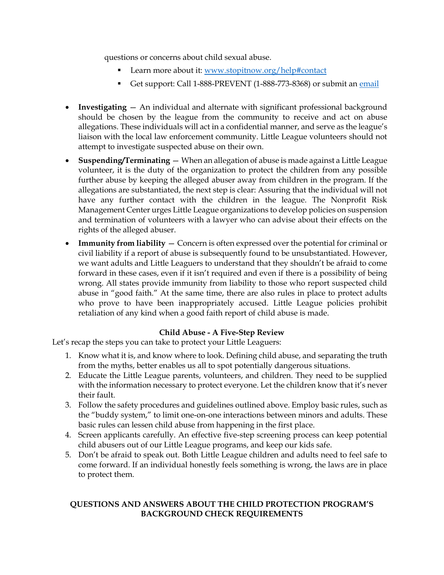questions or concerns about child sexual abuse.

- Learn more about it: [www.stopitnow.org/help#contact](http://www.stopitnow.org/help#contact)
- Get support: Call 1-888-PREVENT (1-888-773-8368) or submit an [email](http://www.stopitnow.org/webform/help-inquiry)
- **Investigating** An individual and alternate with significant professional background should be chosen by the league from the community to receive and act on abuse allegations. These individuals will act in a confidential manner, and serve as the league's liaison with the local law enforcement community. Little League volunteers should not attempt to investigate suspected abuse on their own.
- **Suspending/Terminating** When an allegation of abuse is made against a Little League volunteer, it is the duty of the organization to protect the children from any possible further abuse by keeping the alleged abuser away from children in the program. If the allegations are substantiated, the next step is clear: Assuring that the individual will not have any further contact with the children in the league. The Nonprofit Risk Management Center urges Little League organizations to develop policies on suspension and termination of volunteers with a lawyer who can advise about their effects on the rights of the alleged abuser.
- **Immunity from liability** Concern is often expressed over the potential for criminal or civil liability if a report of abuse is subsequently found to be unsubstantiated. However, we want adults and Little Leaguers to understand that they shouldn't be afraid to come forward in these cases, even if it isn't required and even if there is a possibility of being wrong. All states provide immunity from liability to those who report suspected child abuse in "good faith." At the same time, there are also rules in place to protect adults who prove to have been inappropriately accused. Little League policies prohibit retaliation of any kind when a good faith report of child abuse is made.

### **Child Abuse - A Five-Step Review**

Let's recap the steps you can take to protect your Little Leaguers:

- 1. Know what it is, and know where to look. Defining child abuse, and separating the truth from the myths, better enables us all to spot potentially dangerous situations.
- 2. Educate the Little League parents, volunteers, and children. They need to be supplied with the information necessary to protect everyone. Let the children know that it's never their fault.
- 3. Follow the safety procedures and guidelines outlined above. Employ basic rules, such as the "buddy system," to limit one-on-one interactions between minors and adults. These basic rules can lessen child abuse from happening in the first place.
- 4. Screen applicants carefully. An effective five-step screening process can keep potential child abusers out of our Little League programs, and keep our kids safe.
- 5. Don't be afraid to speak out. Both Little League children and adults need to feel safe to come forward. If an individual honestly feels something is wrong, the laws are in place to protect them.

## **QUESTIONS AND ANSWERS ABOUT THE CHILD PROTECTION PROGRAM'S BACKGROUND CHECK REQUIREMENTS**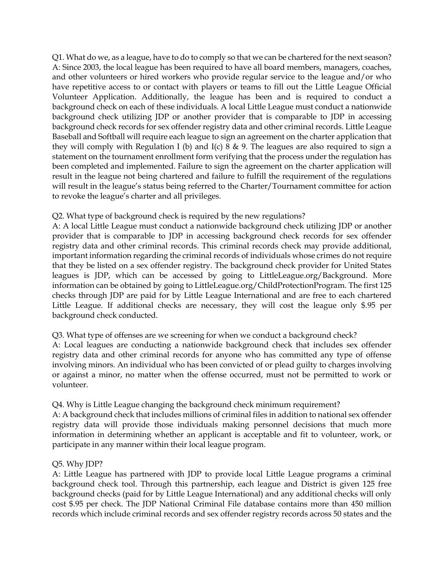Q1. What do we, as a league, have to do to comply so that we can be chartered for the next season? A: Since 2003, the local league has been required to have all board members, managers, coaches, and other volunteers or hired workers who provide regular service to the league and/or who have repetitive access to or contact with players or teams to fill out the Little League Official Volunteer Application. Additionally, the league has been and is required to conduct a background check on each of these individuals. A local Little League must conduct a nationwide background check utilizing JDP or another provider that is comparable to JDP in accessing background check records for sex offender registry data and other criminal records. Little League Baseball and Softball will require each league to sign an agreement on the charter application that they will comply with Regulation I (b) and I(c)  $8 \& 9$ . The leagues are also required to sign a statement on the tournament enrollment form verifying that the process under the regulation has been completed and implemented. Failure to sign the agreement on the charter application will result in the league not being chartered and failure to fulfill the requirement of the regulations will result in the league's status being referred to the Charter/Tournament committee for action to revoke the league's charter and all privileges.

## Q2. What type of background check is required by the new regulations?

A: A local Little League must conduct a nationwide background check utilizing JDP or another provider that is comparable to JDP in accessing background check records for sex offender registry data and other criminal records. This criminal records check may provide additional, important information regarding the criminal records of individuals whose crimes do not require that they be listed on a sex offender registry. The background check provider for United States leagues is JDP, which can be accessed by going to LittleLeague.org/Background. More information can be obtained by going to LittleLeague.org/ChildProtectionProgram. The first 125 checks through JDP are paid for by Little League International and are free to each chartered Little League. If additional checks are necessary, they will cost the league only \$.95 per background check conducted.

### Q3. What type of offenses are we screening for when we conduct a background check?

A: Local leagues are conducting a nationwide background check that includes sex offender registry data and other criminal records for anyone who has committed any type of offense involving minors. An individual who has been convicted of or plead guilty to charges involving or against a minor, no matter when the offense occurred, must not be permitted to work or volunteer.

# Q4. Why is Little League changing the background check minimum requirement?

A: A background check that includes millions of criminal files in addition to national sex offender registry data will provide those individuals making personnel decisions that much more information in determining whether an applicant is acceptable and fit to volunteer, work, or participate in any manner within their local league program.

### Q5. Why JDP?

A: Little League has partnered with JDP to provide local Little League programs a criminal background check tool. Through this partnership, each league and District is given 125 free background checks (paid for by Little League International) and any additional checks will only cost \$.95 per check. The JDP National Criminal File database contains more than 450 million records which include criminal records and sex offender registry records across 50 states and the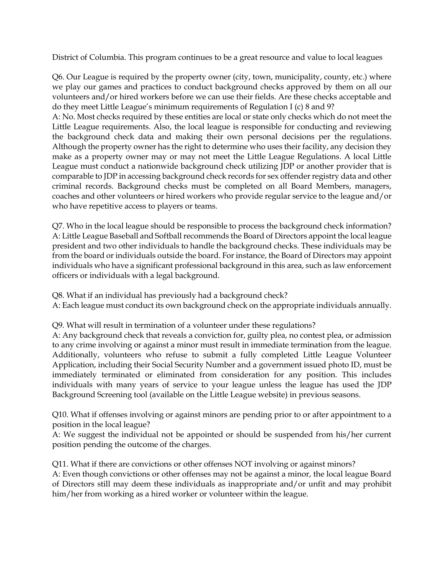District of Columbia. This program continues to be a great resource and value to local leagues

Q6. Our League is required by the property owner (city, town, municipality, county, etc.) where we play our games and practices to conduct background checks approved by them on all our volunteers and/or hired workers before we can use their fields. Are these checks acceptable and do they meet Little League's minimum requirements of Regulation I (c) 8 and 9?

A: No. Most checks required by these entities are local or state only checks which do not meet the Little League requirements. Also, the local league is responsible for conducting and reviewing the background check data and making their own personal decisions per the regulations. Although the property owner has the right to determine who uses their facility, any decision they make as a property owner may or may not meet the Little League Regulations. A local Little League must conduct a nationwide background check utilizing JDP or another provider that is comparable to JDP in accessing background check records for sex offender registry data and other criminal records. Background checks must be completed on all Board Members, managers, coaches and other volunteers or hired workers who provide regular service to the league and/or who have repetitive access to players or teams.

Q7. Who in the local league should be responsible to process the background check information? A: Little League Baseball and Softball recommends the Board of Directors appoint the local league president and two other individuals to handle the background checks. These individuals may be from the board or individuals outside the board. For instance, the Board of Directors may appoint individuals who have a significant professional background in this area, such as law enforcement officers or individuals with a legal background.

Q8. What if an individual has previously had a background check?

A: Each league must conduct its own background check on the appropriate individuals annually.

Q9. What will result in termination of a volunteer under these regulations?

A: Any background check that reveals a conviction for, guilty plea, no contest plea, or admission to any crime involving or against a minor must result in immediate termination from the league. Additionally, volunteers who refuse to submit a fully completed Little League Volunteer Application, including their Social Security Number and a government issued photo ID, must be immediately terminated or eliminated from consideration for any position. This includes individuals with many years of service to your league unless the league has used the JDP Background Screening tool (available on the Little League website) in previous seasons.

Q10. What if offenses involving or against minors are pending prior to or after appointment to a position in the local league?

A: We suggest the individual not be appointed or should be suspended from his/her current position pending the outcome of the charges.

Q11. What if there are convictions or other offenses NOT involving or against minors? A: Even though convictions or other offenses may not be against a minor, the local league Board of Directors still may deem these individuals as inappropriate and/or unfit and may prohibit him/her from working as a hired worker or volunteer within the league.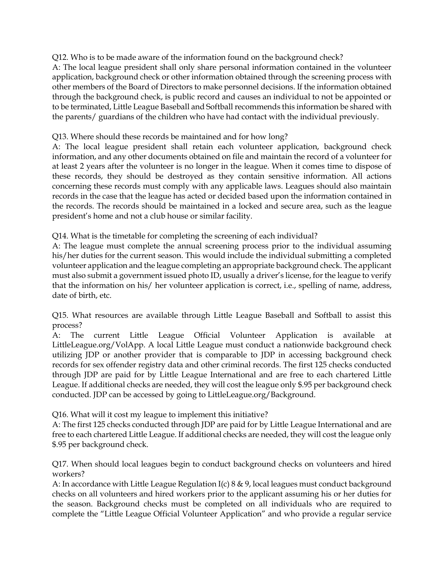Q12. Who is to be made aware of the information found on the background check?

A: The local league president shall only share personal information contained in the volunteer application, background check or other information obtained through the screening process with other members of the Board of Directors to make personnel decisions. If the information obtained through the background check, is public record and causes an individual to not be appointed or to be terminated, Little League Baseball and Softball recommends this information be shared with the parents/ guardians of the children who have had contact with the individual previously.

## Q13. Where should these records be maintained and for how long?

A: The local league president shall retain each volunteer application, background check information, and any other documents obtained on file and maintain the record of a volunteer for at least 2 years after the volunteer is no longer in the league. When it comes time to dispose of these records, they should be destroyed as they contain sensitive information. All actions concerning these records must comply with any applicable laws. Leagues should also maintain records in the case that the league has acted or decided based upon the information contained in the records. The records should be maintained in a locked and secure area, such as the league president's home and not a club house or similar facility.

Q14. What is the timetable for completing the screening of each individual?

A: The league must complete the annual screening process prior to the individual assuming his/her duties for the current season. This would include the individual submitting a completed volunteer application and the league completing an appropriate background check. The applicant must also submit a government issued photo ID, usually a driver's license, for the league to verify that the information on his/ her volunteer application is correct, i.e., spelling of name, address, date of birth, etc.

Q15. What resources are available through Little League Baseball and Softball to assist this process?

A: The current Little League Official Volunteer Application is available at LittleLeague.org/VolApp. A local Little League must conduct a nationwide background check utilizing JDP or another provider that is comparable to JDP in accessing background check records for sex offender registry data and other criminal records. The first 125 checks conducted through JDP are paid for by Little League International and are free to each chartered Little League. If additional checks are needed, they will cost the league only \$.95 per background check conducted. JDP can be accessed by going to LittleLeague.org/Background.

Q16. What will it cost my league to implement this initiative?

A: The first 125 checks conducted through JDP are paid for by Little League International and are free to each chartered Little League. If additional checks are needed, they will cost the league only \$.95 per background check.

Q17. When should local leagues begin to conduct background checks on volunteers and hired workers?

A: In accordance with Little League Regulation I(c)  $8 \& 9$ , local leagues must conduct background checks on all volunteers and hired workers prior to the applicant assuming his or her duties for the season. Background checks must be completed on all individuals who are required to complete the "Little League Official Volunteer Application" and who provide a regular service